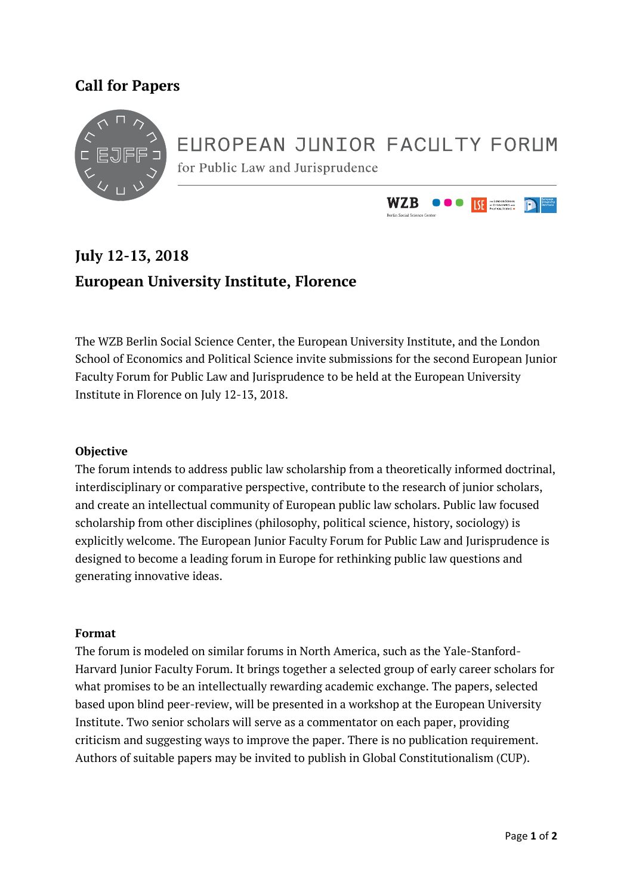### **Call for Papers**



# EUROPEAN JUNIOR FACULTY FORUM

for Public Law and Jurisprudence



## **July 12-13, 2018 European University Institute, Florence**

The WZB Berlin Social Science Center, the European University Institute, and the London School of Economics and Political Science invite submissions for the second European Junior Faculty Forum for Public Law and Jurisprudence to be held at the European University Institute in Florence on July 12-13, 2018.

#### **Objective**

The forum intends to address public law scholarship from a theoretically informed doctrinal, interdisciplinary or comparative perspective, contribute to the research of junior scholars, and create an intellectual community of European public law scholars. Public law focused scholarship from other disciplines (philosophy, political science, history, sociology) is explicitly welcome. The European Junior Faculty Forum for Public Law and Jurisprudence is designed to become a leading forum in Europe for rethinking public law questions and generating innovative ideas.

#### **Format**

The forum is modeled on similar forums in North America, such as the Yale-Stanford-Harvard Junior Faculty Forum. It brings together a selected group of early career scholars for what promises to be an intellectually rewarding academic exchange. The papers, selected based upon blind peer-review, will be presented in a workshop at the European University Institute. Two senior scholars will serve as a commentator on each paper, providing criticism and suggesting ways to improve the paper. There is no publication requirement. Authors of suitable papers may be invited to publish in Global Constitutionalism (CUP).